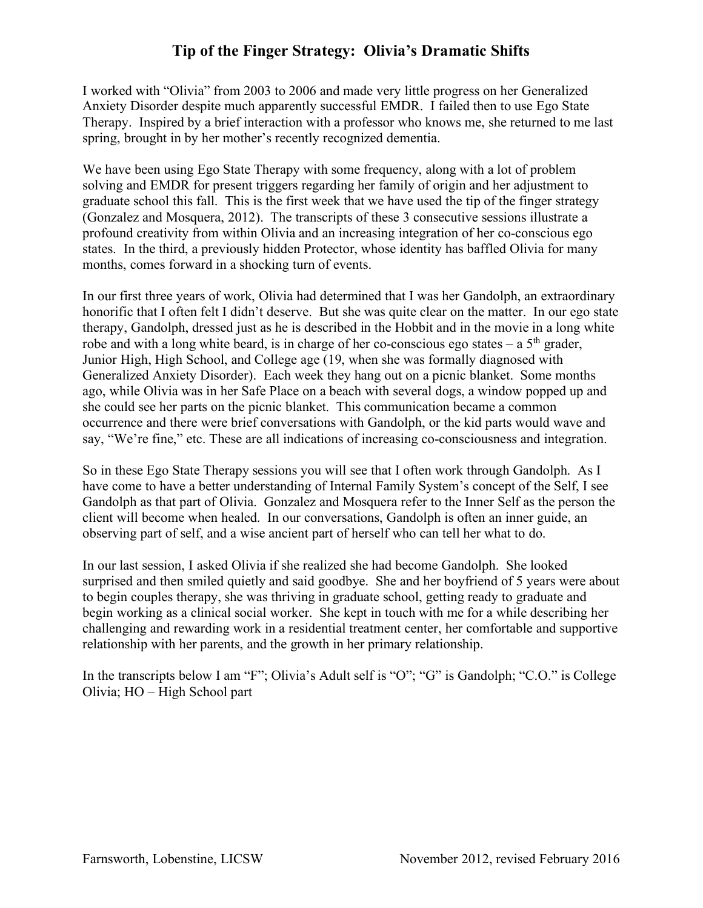I worked with "Olivia" from 2003 to 2006 and made very little progress on her Generalized Anxiety Disorder despite much apparently successful EMDR. I failed then to use Ego State Therapy. Inspired by a brief interaction with a professor who knows me, she returned to me last spring, brought in by her mother's recently recognized dementia.

We have been using Ego State Therapy with some frequency, along with a lot of problem solving and EMDR for present triggers regarding her family of origin and her adjustment to graduate school this fall. This is the first week that we have used the tip of the finger strategy (Gonzalez and Mosquera, 2012). The transcripts of these 3 consecutive sessions illustrate a profound creativity from within Olivia and an increasing integration of her co-conscious ego states. In the third, a previously hidden Protector, whose identity has baffled Olivia for many months, comes forward in a shocking turn of events.

In our first three years of work, Olivia had determined that I was her Gandolph, an extraordinary honorific that I often felt I didn't deserve. But she was quite clear on the matter. In our ego state therapy, Gandolph, dressed just as he is described in the Hobbit and in the movie in a long white robe and with a long white beard, is in charge of her co-conscious ego states – a  $5<sup>th</sup>$  grader, Junior High, High School, and College age (19, when she was formally diagnosed with Generalized Anxiety Disorder). Each week they hang out on a picnic blanket. Some months ago, while Olivia was in her Safe Place on a beach with several dogs, a window popped up and she could see her parts on the picnic blanket. This communication became a common occurrence and there were brief conversations with Gandolph, or the kid parts would wave and say, "We're fine," etc. These are all indications of increasing co-consciousness and integration.

So in these Ego State Therapy sessions you will see that I often work through Gandolph. As I have come to have a better understanding of Internal Family System's concept of the Self, I see Gandolph as that part of Olivia. Gonzalez and Mosquera refer to the Inner Self as the person the client will become when healed. In our conversations, Gandolph is often an inner guide, an observing part of self, and a wise ancient part of herself who can tell her what to do.

In our last session, I asked Olivia if she realized she had become Gandolph. She looked surprised and then smiled quietly and said goodbye. She and her boyfriend of 5 years were about to begin couples therapy, she was thriving in graduate school, getting ready to graduate and begin working as a clinical social worker. She kept in touch with me for a while describing her challenging and rewarding work in a residential treatment center, her comfortable and supportive relationship with her parents, and the growth in her primary relationship.

In the transcripts below I am "F"; Olivia's Adult self is "O"; "G" is Gandolph; "C.O." is College Olivia; HO – High School part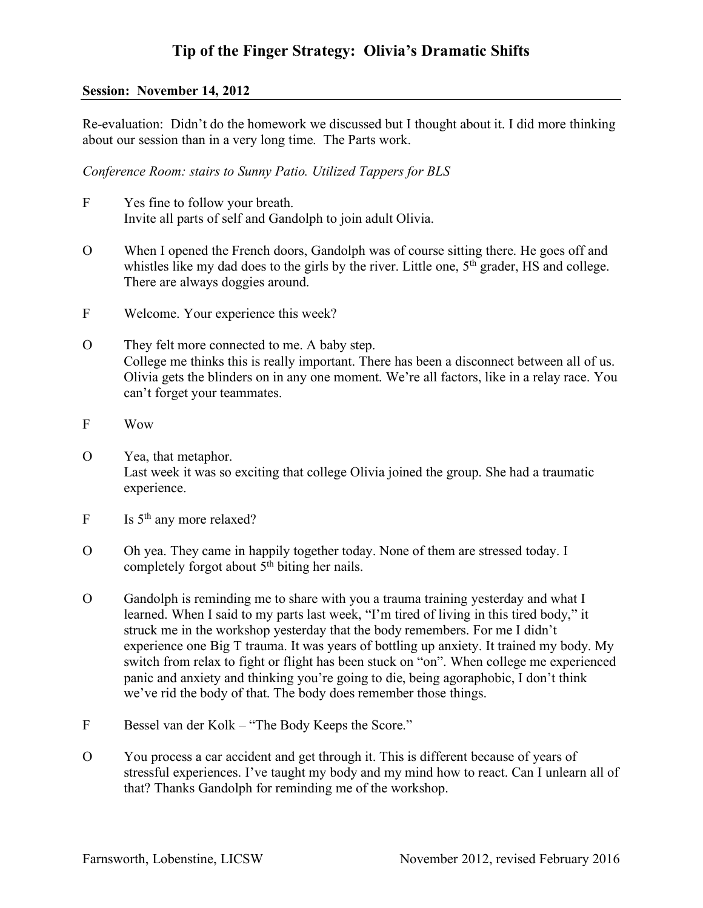#### **Session: November 14, 2012**

Re-evaluation: Didn't do the homework we discussed but I thought about it. I did more thinking about our session than in a very long time. The Parts work.

*Conference Room: stairs to Sunny Patio. Utilized Tappers for BLS*

- F Yes fine to follow your breath. Invite all parts of self and Gandolph to join adult Olivia.
- O When I opened the French doors, Gandolph was of course sitting there. He goes off and whistles like my dad does to the girls by the river. Little one, 5<sup>th</sup> grader, HS and college. There are always doggies around.
- F Welcome. Your experience this week?
- O They felt more connected to me. A baby step. College me thinks this is really important. There has been a disconnect between all of us. Olivia gets the blinders on in any one moment. We're all factors, like in a relay race. You can't forget your teammates.
- F Wow
- O Yea, that metaphor. Last week it was so exciting that college Olivia joined the group. She had a traumatic experience.
- $F = Is$  5<sup>th</sup> any more relaxed?
- O Oh yea. They came in happily together today. None of them are stressed today. I completely forgot about  $5<sup>th</sup>$  biting her nails.
- O Gandolph is reminding me to share with you a trauma training yesterday and what I learned. When I said to my parts last week, "I'm tired of living in this tired body," it struck me in the workshop yesterday that the body remembers. For me I didn't experience one Big T trauma. It was years of bottling up anxiety. It trained my body. My switch from relax to fight or flight has been stuck on "on". When college me experienced panic and anxiety and thinking you're going to die, being agoraphobic, I don't think we've rid the body of that. The body does remember those things.
- F Bessel van der Kolk "The Body Keeps the Score."
- O You process a car accident and get through it. This is different because of years of stressful experiences. I've taught my body and my mind how to react. Can I unlearn all of that? Thanks Gandolph for reminding me of the workshop.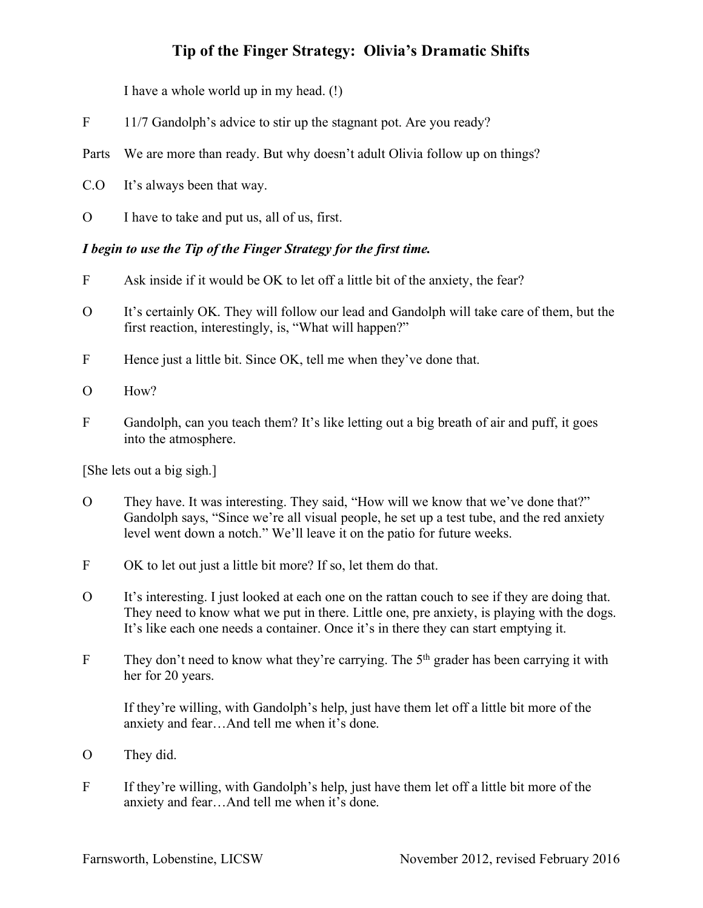I have a whole world up in my head. (!)

- F 11/7 Gandolph's advice to stir up the stagnant pot. Are you ready?
- Parts We are more than ready. But why doesn't adult Olivia follow up on things?
- C.O It's always been that way.
- O I have to take and put us, all of us, first.

### *I begin to use the Tip of the Finger Strategy for the first time.*

- F Ask inside if it would be OK to let off a little bit of the anxiety, the fear?
- O It's certainly OK. They will follow our lead and Gandolph will take care of them, but the first reaction, interestingly, is, "What will happen?"
- F Hence just a little bit. Since OK, tell me when they've done that.
- O How?
- F Gandolph, can you teach them? It's like letting out a big breath of air and puff, it goes into the atmosphere.

[She lets out a big sigh.]

- O They have. It was interesting. They said, "How will we know that we've done that?" Gandolph says, "Since we're all visual people, he set up a test tube, and the red anxiety level went down a notch." We'll leave it on the patio for future weeks.
- F OK to let out just a little bit more? If so, let them do that.
- O It's interesting. I just looked at each one on the rattan couch to see if they are doing that. They need to know what we put in there. Little one, pre anxiety, is playing with the dogs. It's like each one needs a container. Once it's in there they can start emptying it.
- F They don't need to know what they're carrying. The 5<sup>th</sup> grader has been carrying it with her for 20 years.

If they're willing, with Gandolph's help, just have them let off a little bit more of the anxiety and fear…And tell me when it's done.

- O They did.
- F If they're willing, with Gandolph's help, just have them let off a little bit more of the anxiety and fear…And tell me when it's done.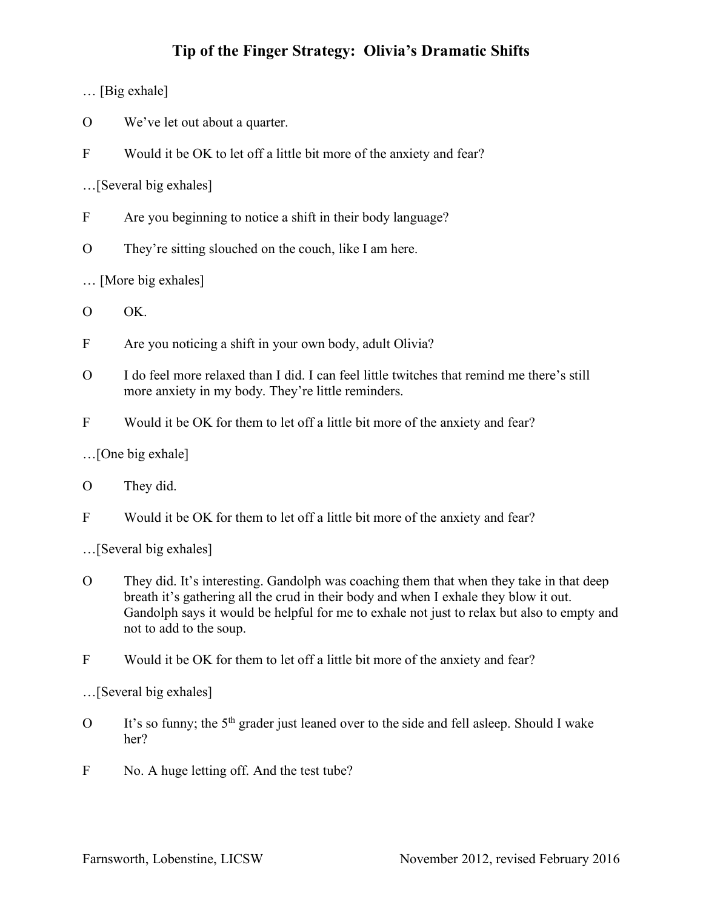… [Big exhale]

- O We've let out about a quarter.
- F Would it be OK to let off a little bit more of the anxiety and fear?

…[Several big exhales]

- F Are you beginning to notice a shift in their body language?
- O They're sitting slouched on the couch, like I am here.

… [More big exhales]

O OK.

- F Are you noticing a shift in your own body, adult Olivia?
- O I do feel more relaxed than I did. I can feel little twitches that remind me there's still more anxiety in my body. They're little reminders.
- F Would it be OK for them to let off a little bit more of the anxiety and fear?

…[One big exhale]

### O They did.

F Would it be OK for them to let off a little bit more of the anxiety and fear?

…[Several big exhales]

- O They did. It's interesting. Gandolph was coaching them that when they take in that deep breath it's gathering all the crud in their body and when I exhale they blow it out. Gandolph says it would be helpful for me to exhale not just to relax but also to empty and not to add to the soup.
- F Would it be OK for them to let off a little bit more of the anxiety and fear?

…[Several big exhales]

- O It's so funny; the  $5<sup>th</sup>$  grader just leaned over to the side and fell asleep. Should I wake her?
- F No. A huge letting off. And the test tube?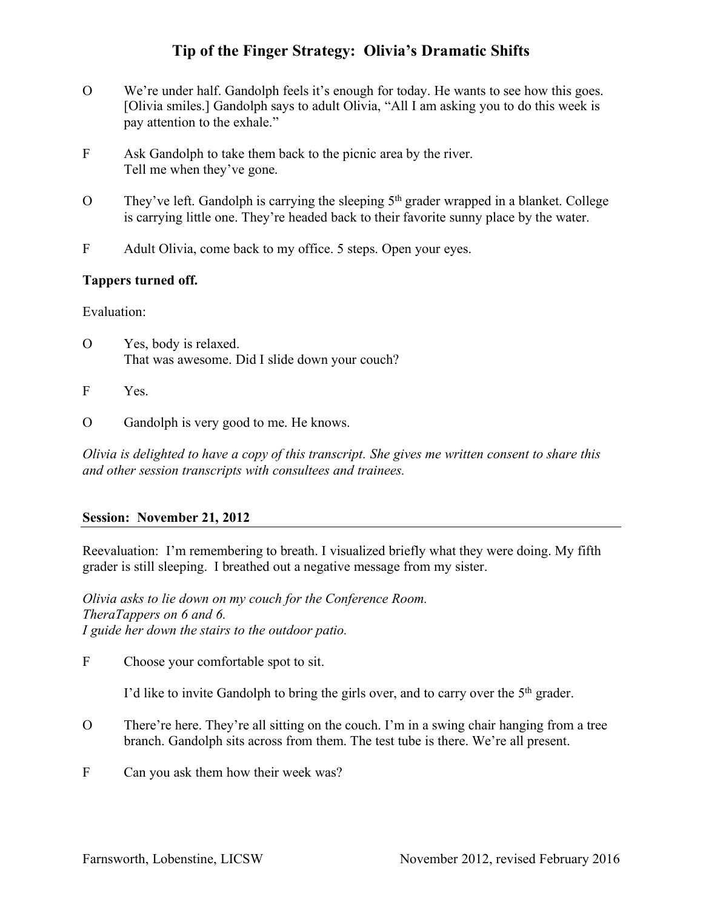- O We're under half. Gandolph feels it's enough for today. He wants to see how this goes. [Olivia smiles.] Gandolph says to adult Olivia, "All I am asking you to do this week is pay attention to the exhale."
- F Ask Gandolph to take them back to the picnic area by the river. Tell me when they've gone.
- O They've left. Gandolph is carrying the sleeping 5th grader wrapped in a blanket. College is carrying little one. They're headed back to their favorite sunny place by the water.
- F Adult Olivia, come back to my office. 5 steps. Open your eyes.

### **Tappers turned off.**

Evaluation:

- O Yes, body is relaxed. That was awesome. Did I slide down your couch?
- F Yes.
- O Gandolph is very good to me. He knows.

*Olivia is delighted to have a copy of this transcript. She gives me written consent to share this and other session transcripts with consultees and trainees.*

#### **Session: November 21, 2012**

Reevaluation: I'm remembering to breath. I visualized briefly what they were doing. My fifth grader is still sleeping. I breathed out a negative message from my sister.

*Olivia asks to lie down on my couch for the Conference Room. TheraTappers on 6 and 6. I guide her down the stairs to the outdoor patio.*

F Choose your comfortable spot to sit.

I'd like to invite Gandolph to bring the girls over, and to carry over the 5<sup>th</sup> grader.

- O There're here. They're all sitting on the couch. I'm in a swing chair hanging from a tree branch. Gandolph sits across from them. The test tube is there. We're all present.
- F Can you ask them how their week was?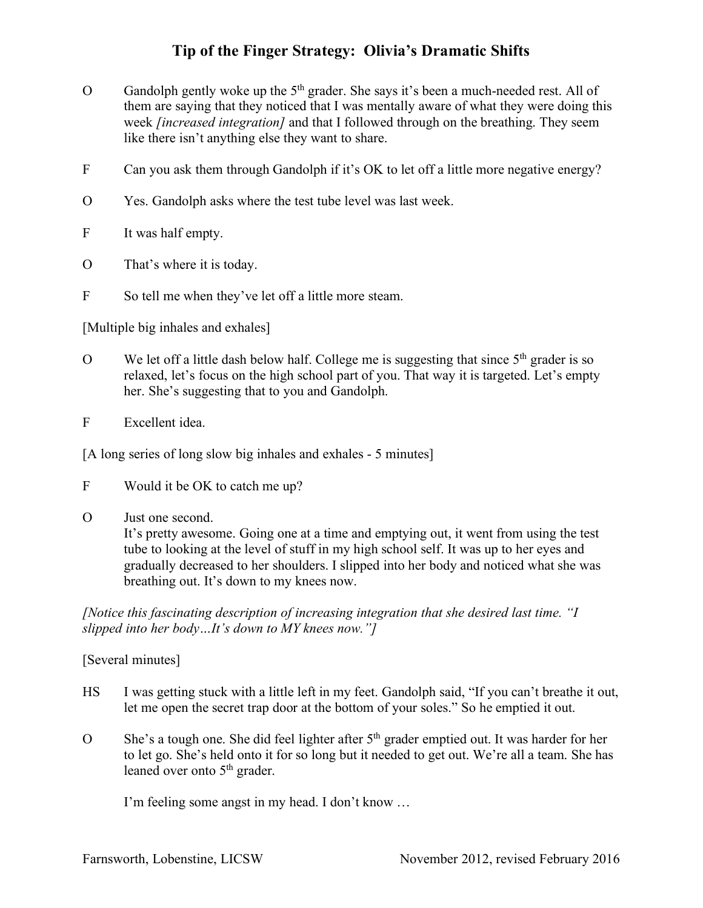- O Gandolph gently woke up the  $5<sup>th</sup>$  grader. She says it's been a much-needed rest. All of them are saying that they noticed that I was mentally aware of what they were doing this week *[increased integration]* and that I followed through on the breathing. They seem like there isn't anything else they want to share.
- F Can you ask them through Gandolph if it's OK to let off a little more negative energy?
- O Yes. Gandolph asks where the test tube level was last week.
- F It was half empty.
- O That's where it is today.
- F So tell me when they've let off a little more steam.

[Multiple big inhales and exhales]

- O We let off a little dash below half. College me is suggesting that since  $5<sup>th</sup>$  grader is so relaxed, let's focus on the high school part of you. That way it is targeted. Let's empty her. She's suggesting that to you and Gandolph.
- F Excellent idea.

[A long series of long slow big inhales and exhales - 5 minutes]

- F Would it be OK to catch me up?
- O Just one second.

It's pretty awesome. Going one at a time and emptying out, it went from using the test tube to looking at the level of stuff in my high school self. It was up to her eyes and gradually decreased to her shoulders. I slipped into her body and noticed what she was breathing out. It's down to my knees now.

*[Notice this fascinating description of increasing integration that she desired last time. "I slipped into her body…It's down to MY knees now."]*

#### [Several minutes]

- HS I was getting stuck with a little left in my feet. Gandolph said, "If you can't breathe it out, let me open the secret trap door at the bottom of your soles." So he emptied it out.
- O She's a tough one. She did feel lighter after 5<sup>th</sup> grader emptied out. It was harder for her to let go. She's held onto it for so long but it needed to get out. We're all a team. She has leaned over onto 5<sup>th</sup> grader.

I'm feeling some angst in my head. I don't know …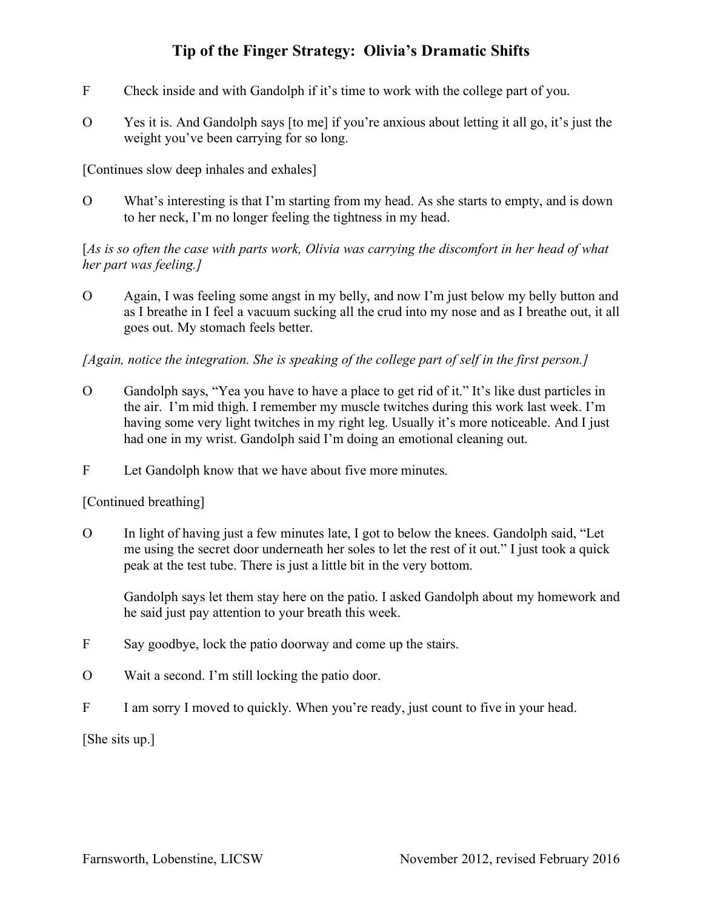- F Check inside and with Gandolph if it's time to work with the college part of you.
- O Yes it is. And Gandolph says [to me] if you're anxious about letting it all go, it's just the weight you've been carrying for so long.

[Continues slow deep inhales and exhales]

O What's interesting is that I'm starting from my head. As she starts to empty, and is down to her neck, I'm no longer feeling the tightness in my head.

[*As is so often the case with parts work, Olivia was carrying the discomfort in her head of what her part was feeling.]*

O Again, I was feeling some angst in my belly, and now I'm just below my belly button and as I breathe in I feel a vacuum sucking all the crud into my nose and as I breathe out, it all goes out. My stomach feels better.

*[Again, notice the integration. She is speaking of the college part of self in the first person.]*

- O Gandolph says, "Yea you have to have a place to get rid of it." It's like dust particles in the air. I'm mid thigh. I remember my muscle twitches during this work last week. I'm having some very light twitches in my right leg. Usually it's more noticeable. And I just had one in my wrist. Gandolph said I'm doing an emotional cleaning out.
- F Let Gandolph know that we have about five more minutes.

[Continued breathing]

O In light of having just a few minutes late, I got to below the knees. Gandolph said, "Let me using the secret door underneath her soles to let the rest of it out." I just took a quick peak at the test tube. There is just a little bit in the very bottom.

Gandolph says let them stay here on the patio. I asked Gandolph about my homework and he said just pay attention to your breath this week.

- F Say goodbye, lock the patio doorway and come up the stairs.
- O Wait a second. I'm still locking the patio door.
- F I am sorry I moved to quickly. When you're ready, just count to five in your head.

[She sits up.]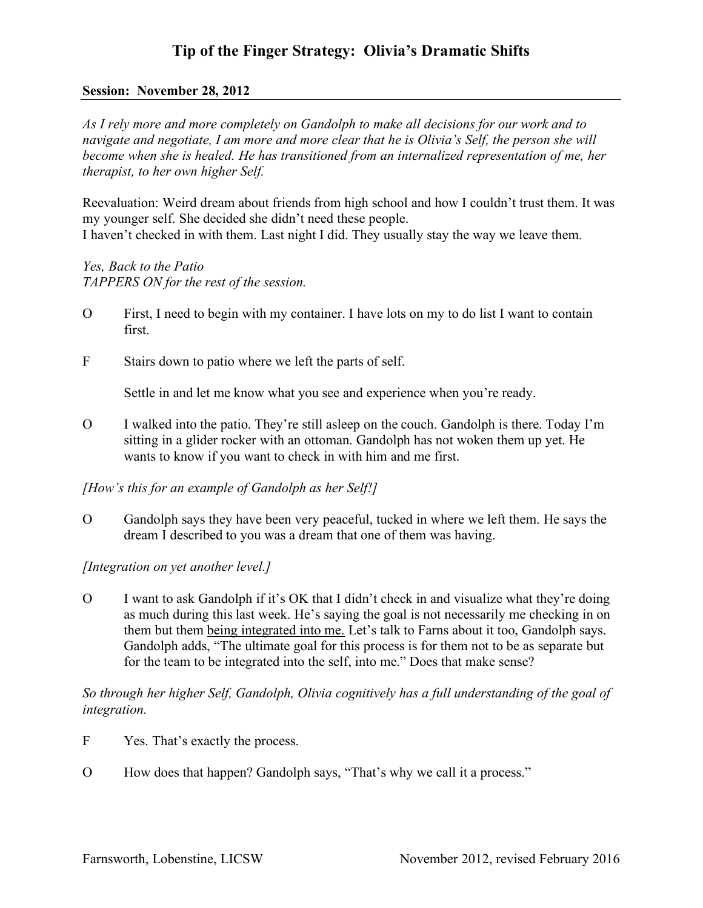#### **Session: November 28, 2012**

*As I rely more and more completely on Gandolph to make all decisions for our work and to navigate and negotiate, I am more and more clear that he is Olivia's Self, the person she will become when she is healed. He has transitioned from an internalized representation of me, her therapist, to her own higher Self.*

Reevaluation: Weird dream about friends from high school and how I couldn't trust them. It was my younger self. She decided she didn't need these people. I haven't checked in with them. Last night I did. They usually stay the way we leave them.

*Yes, Back to the Patio TAPPERS ON for the rest of the session.*

- O First, I need to begin with my container. I have lots on my to do list I want to contain first.
- F Stairs down to patio where we left the parts of self.

Settle in and let me know what you see and experience when you're ready.

O I walked into the patio. They're still asleep on the couch. Gandolph is there. Today I'm sitting in a glider rocker with an ottoman. Gandolph has not woken them up yet. He wants to know if you want to check in with him and me first.

*[How's this for an example of Gandolph as her Self!]*

O Gandolph says they have been very peaceful, tucked in where we left them. He says the dream I described to you was a dream that one of them was having.

*[Integration on yet another level.]*

O I want to ask Gandolph if it's OK that I didn't check in and visualize what they're doing as much during this last week. He's saying the goal is not necessarily me checking in on them but them being integrated into me. Let's talk to Farns about it too, Gandolph says. Gandolph adds, "The ultimate goal for this process is for them not to be as separate but for the team to be integrated into the self, into me." Does that make sense?

#### *So through her higher Self, Gandolph, Olivia cognitively has a full understanding of the goal of integration.*

- F Yes. That's exactly the process.
- O How does that happen? Gandolph says, "That's why we call it a process."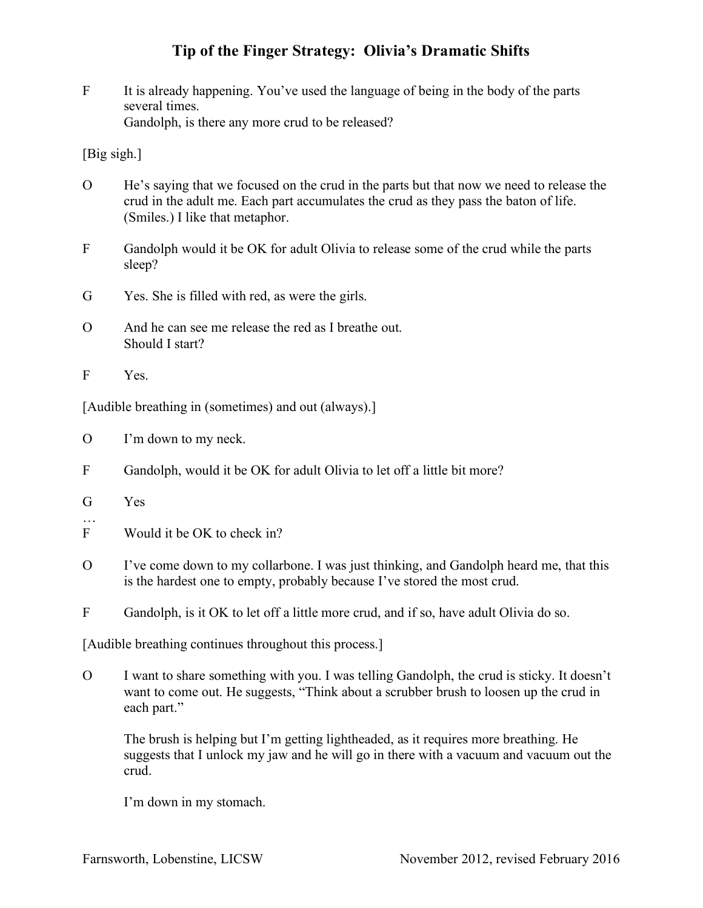F It is already happening. You've used the language of being in the body of the parts several times. Gandolph, is there any more crud to be released?

[Big sigh.]

- O He's saying that we focused on the crud in the parts but that now we need to release the crud in the adult me. Each part accumulates the crud as they pass the baton of life. (Smiles.) I like that metaphor.
- F Gandolph would it be OK for adult Olivia to release some of the crud while the parts sleep?
- G Yes. She is filled with red, as were the girls.
- O And he can see me release the red as I breathe out. Should I start?
- F Yes.

[Audible breathing in (sometimes) and out (always).]

- O I'm down to my neck.
- F Gandolph, would it be OK for adult Olivia to let off a little bit more?
- G Yes

…

- F Would it be OK to check in?
- O I've come down to my collarbone. I was just thinking, and Gandolph heard me, that this is the hardest one to empty, probably because I've stored the most crud.
- F Gandolph, is it OK to let off a little more crud, and if so, have adult Olivia do so.

[Audible breathing continues throughout this process.]

O I want to share something with you. I was telling Gandolph, the crud is sticky. It doesn't want to come out. He suggests, "Think about a scrubber brush to loosen up the crud in each part."

The brush is helping but I'm getting lightheaded, as it requires more breathing. He suggests that I unlock my jaw and he will go in there with a vacuum and vacuum out the crud.

I'm down in my stomach.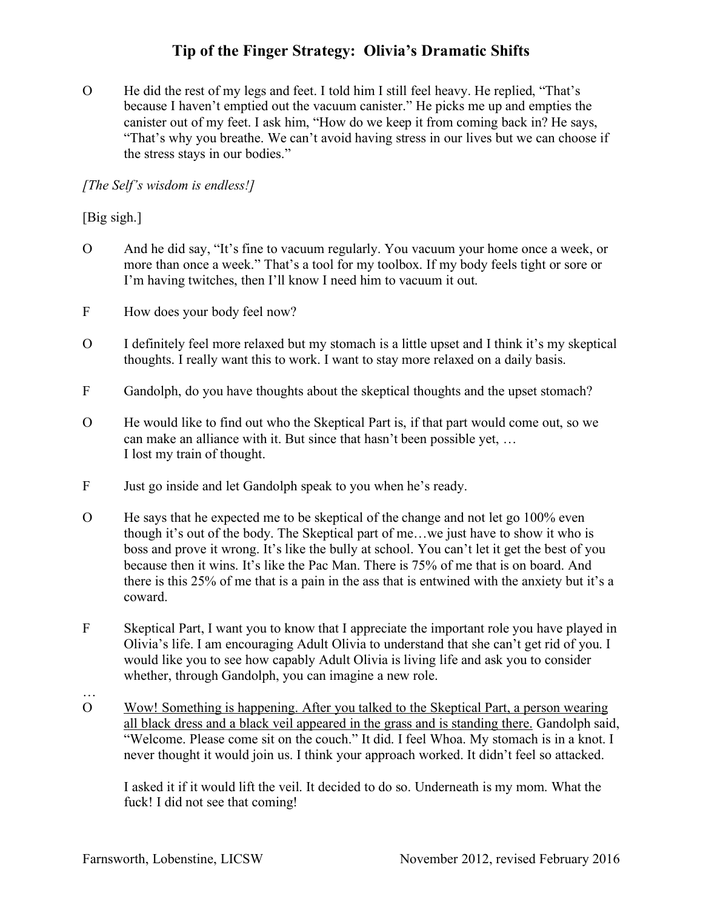O He did the rest of my legs and feet. I told him I still feel heavy. He replied, "That's because I haven't emptied out the vacuum canister." He picks me up and empties the canister out of my feet. I ask him, "How do we keep it from coming back in? He says, "That's why you breathe. We can't avoid having stress in our lives but we can choose if the stress stays in our bodies."

### *[The Self's wisdom is endless!]*

### [Big sigh.]

- O And he did say, "It's fine to vacuum regularly. You vacuum your home once a week, or more than once a week." That's a tool for my toolbox. If my body feels tight or sore or I'm having twitches, then I'll know I need him to vacuum it out.
- F How does your body feel now?
- O I definitely feel more relaxed but my stomach is a little upset and I think it's my skeptical thoughts. I really want this to work. I want to stay more relaxed on a daily basis.
- F Gandolph, do you have thoughts about the skeptical thoughts and the upset stomach?
- O He would like to find out who the Skeptical Part is, if that part would come out, so we can make an alliance with it. But since that hasn't been possible yet, … I lost my train of thought.
- F Just go inside and let Gandolph speak to you when he's ready.
- O He says that he expected me to be skeptical of the change and not let go 100% even though it's out of the body. The Skeptical part of me…we just have to show it who is boss and prove it wrong. It's like the bully at school. You can't let it get the best of you because then it wins. It's like the Pac Man. There is 75% of me that is on board. And there is this 25% of me that is a pain in the ass that is entwined with the anxiety but it's a coward.
- F Skeptical Part, I want you to know that I appreciate the important role you have played in Olivia's life. I am encouraging Adult Olivia to understand that she can't get rid of you. I would like you to see how capably Adult Olivia is living life and ask you to consider whether, through Gandolph, you can imagine a new role.
- O Wow! Something is happening. After you talked to the Skeptical Part, a person wearing all black dress and a black veil appeared in the grass and is standing there. Gandolph said, "Welcome. Please come sit on the couch." It did. I feel Whoa. My stomach is in a knot. I never thought it would join us. I think your approach worked. It didn't feel so attacked.

I asked it if it would lift the veil. It decided to do so. Underneath is my mom. What the fuck! I did not see that coming!

…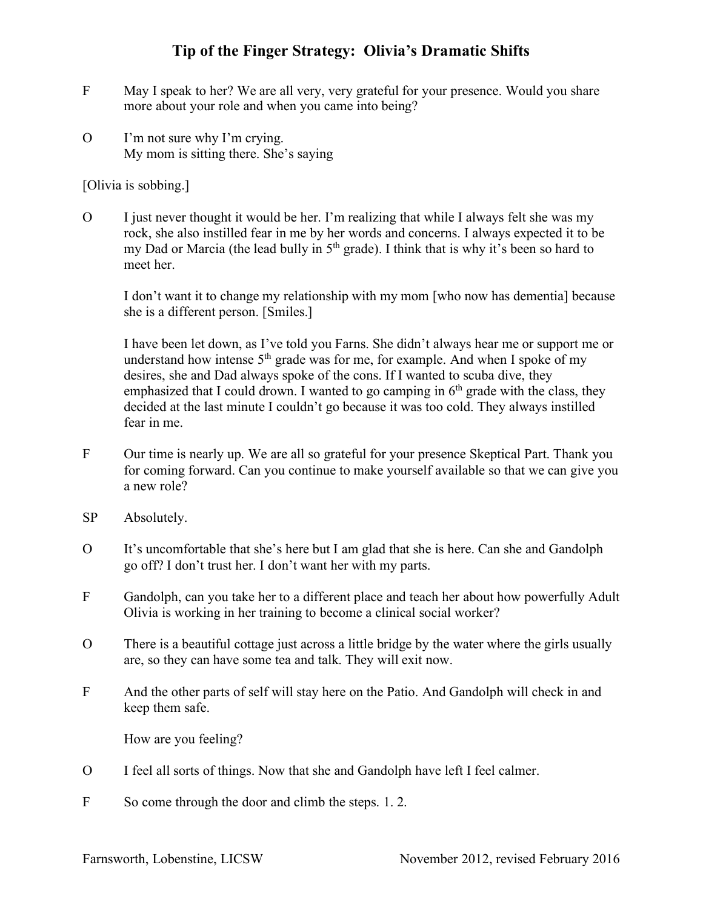- F May I speak to her? We are all very, very grateful for your presence. Would you share more about your role and when you came into being?
- O I'm not sure why I'm crying. My mom is sitting there. She's saying

[Olivia is sobbing.]

O I just never thought it would be her. I'm realizing that while I always felt she was my rock, she also instilled fear in me by her words and concerns. I always expected it to be my Dad or Marcia (the lead bully in  $5<sup>th</sup>$  grade). I think that is why it's been so hard to meet her.

I don't want it to change my relationship with my mom [who now has dementia] because she is a different person. [Smiles.]

I have been let down, as I've told you Farns. She didn't always hear me or support me or understand how intense  $5<sup>th</sup>$  grade was for me, for example. And when I spoke of my desires, she and Dad always spoke of the cons. If I wanted to scuba dive, they emphasized that I could drown. I wanted to go camping in  $6<sup>th</sup>$  grade with the class, they decided at the last minute I couldn't go because it was too cold. They always instilled fear in me.

- F Our time is nearly up. We are all so grateful for your presence Skeptical Part. Thank you for coming forward. Can you continue to make yourself available so that we can give you a new role?
- SP Absolutely.
- O It's uncomfortable that she's here but I am glad that she is here. Can she and Gandolph go off? I don't trust her. I don't want her with my parts.
- F Gandolph, can you take her to a different place and teach her about how powerfully Adult Olivia is working in her training to become a clinical social worker?
- O There is a beautiful cottage just across a little bridge by the water where the girls usually are, so they can have some tea and talk. They will exit now.
- F And the other parts of self will stay here on the Patio. And Gandolph will check in and keep them safe.

How are you feeling?

- O I feel all sorts of things. Now that she and Gandolph have left I feel calmer.
- F So come through the door and climb the steps. 1. 2.